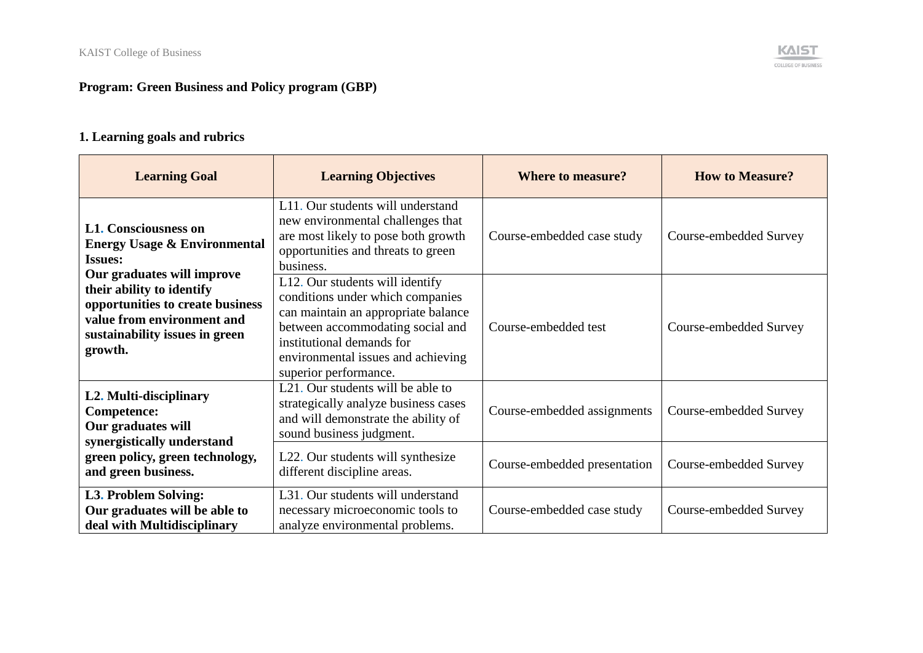# **Program: Green Business and Policy program (GBP)**

# **1. Learning goals and rubrics**

| <b>Learning Goal</b>                                                                                                                                                                                                                                               | <b>Learning Objectives</b>                                                                                                                                                                                                                 | <b>Where to measure?</b>     | <b>How to Measure?</b> |
|--------------------------------------------------------------------------------------------------------------------------------------------------------------------------------------------------------------------------------------------------------------------|--------------------------------------------------------------------------------------------------------------------------------------------------------------------------------------------------------------------------------------------|------------------------------|------------------------|
| <b>L1. Consciousness on</b><br><b>Energy Usage &amp; Environmental</b><br><b>Issues:</b><br>Our graduates will improve<br>their ability to identify<br>opportunities to create business<br>value from environment and<br>sustainability issues in green<br>growth. | L11. Our students will understand<br>new environmental challenges that<br>are most likely to pose both growth<br>opportunities and threats to green<br>business.                                                                           | Course-embedded case study   | Course-embedded Survey |
|                                                                                                                                                                                                                                                                    | L12. Our students will identify<br>conditions under which companies<br>can maintain an appropriate balance<br>between accommodating social and<br>institutional demands for<br>environmental issues and achieving<br>superior performance. | Course-embedded test         | Course-embedded Survey |
| L2. Multi-disciplinary<br>Competence:<br>Our graduates will<br>synergistically understand                                                                                                                                                                          | L <sub>21</sub> . Our students will be able to<br>strategically analyze business cases<br>and will demonstrate the ability of<br>sound business judgment.                                                                                  | Course-embedded assignments  | Course-embedded Survey |
| green policy, green technology,<br>and green business.                                                                                                                                                                                                             | L22. Our students will synthesize<br>different discipline areas.                                                                                                                                                                           | Course-embedded presentation | Course-embedded Survey |
| L3. Problem Solving:<br>Our graduates will be able to<br>deal with Multidisciplinary                                                                                                                                                                               | L31. Our students will understand<br>necessary microeconomic tools to<br>analyze environmental problems.                                                                                                                                   | Course-embedded case study   | Course-embedded Survey |

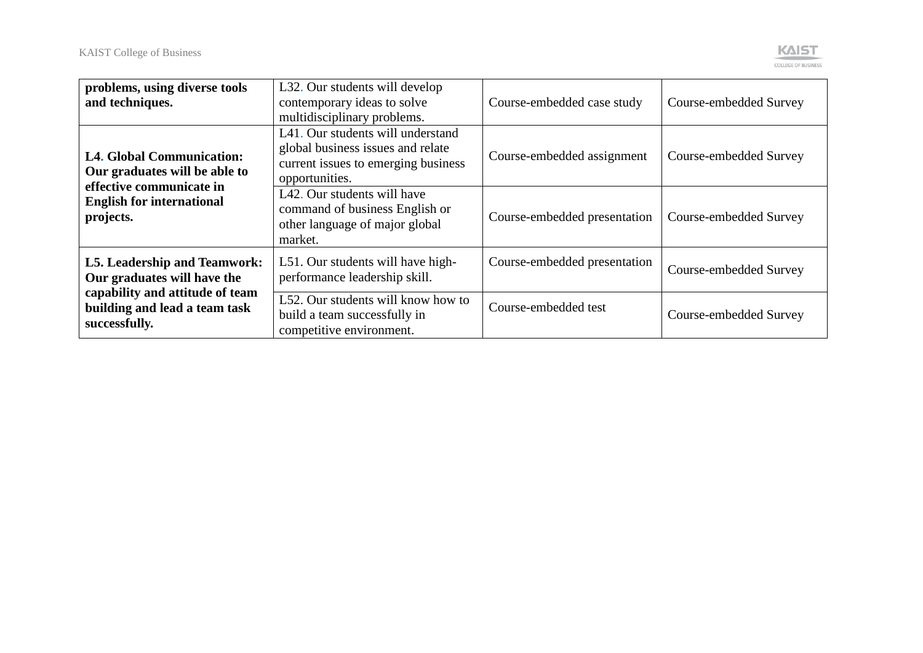

| problems, using diverse tools<br>and techniques.                                              | L32. Our students will develop<br>contemporary ideas to solve<br>multidisciplinary problems.                                    | Course-embedded case study   | Course-embedded Survey |
|-----------------------------------------------------------------------------------------------|---------------------------------------------------------------------------------------------------------------------------------|------------------------------|------------------------|
| <b>L4. Global Communication:</b><br>Our graduates will be able to<br>effective communicate in | L41. Our students will understand<br>global business issues and relate<br>current issues to emerging business<br>opportunities. | Course-embedded assignment   | Course-embedded Survey |
| <b>English for international</b><br>projects.                                                 | L42. Our students will have<br>command of business English or<br>other language of major global<br>market.                      | Course-embedded presentation | Course-embedded Survey |
| L5. Leadership and Teamwork:<br>Our graduates will have the                                   | L51. Our students will have high-<br>performance leadership skill.                                                              | Course-embedded presentation | Course-embedded Survey |
| capability and attitude of team<br>building and lead a team task<br>successfully.             | L52. Our students will know how to<br>build a team successfully in<br>competitive environment.                                  | Course-embedded test         | Course-embedded Survey |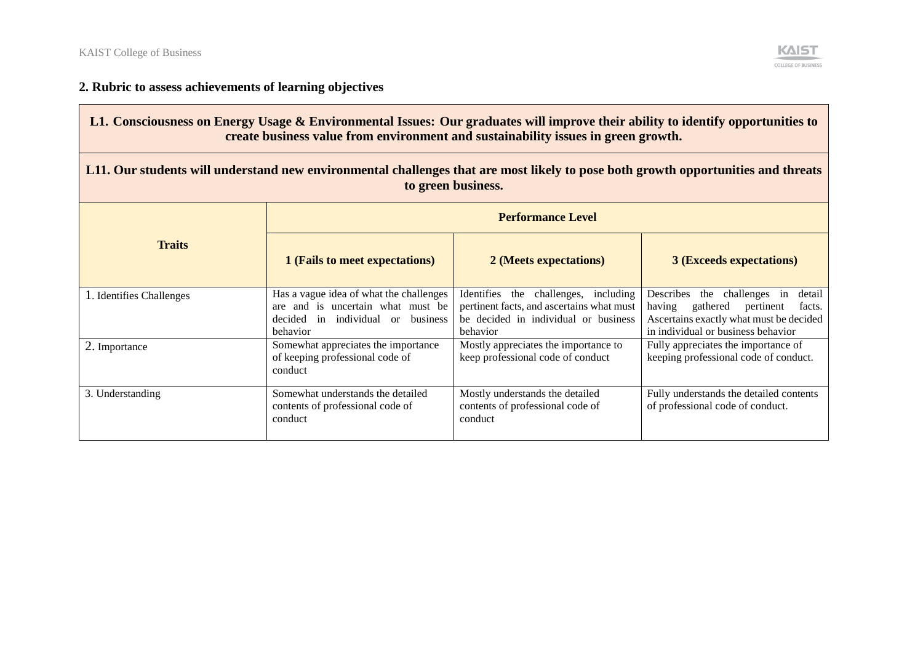**The Contract of Street** 



# **2. Rubric to assess achievements of learning objectives**

| L1. Consciousness on Energy Usage & Environmental Issues: Our graduates will improve their ability to identify opportunities to<br>create business value from environment and sustainability issues in green growth. |                                                                                                                                      |                                                                                                                                       |                                                                                                                                                                     |
|----------------------------------------------------------------------------------------------------------------------------------------------------------------------------------------------------------------------|--------------------------------------------------------------------------------------------------------------------------------------|---------------------------------------------------------------------------------------------------------------------------------------|---------------------------------------------------------------------------------------------------------------------------------------------------------------------|
| L11. Our students will understand new environmental challenges that are most likely to pose both growth opportunities and threats<br>to green business.                                                              |                                                                                                                                      |                                                                                                                                       |                                                                                                                                                                     |
|                                                                                                                                                                                                                      | <b>Performance Level</b>                                                                                                             |                                                                                                                                       |                                                                                                                                                                     |
| <b>Traits</b>                                                                                                                                                                                                        | 1 (Fails to meet expectations)                                                                                                       | 2 (Meets expectations)                                                                                                                | <b>3 (Exceeds expectations)</b>                                                                                                                                     |
| 1. Identifies Challenges                                                                                                                                                                                             | Has a vague idea of what the challenges<br>are and is uncertain what must be<br>decided in individual or business<br><b>behavior</b> | Identifies the challenges, including<br>pertinent facts, and ascertains what must<br>be decided in individual or business<br>behavior | Describes the challenges in<br>detail<br>gathered<br>pertinent<br>having<br>facts.<br>Ascertains exactly what must be decided<br>in individual or business behavior |
| 2. Importance                                                                                                                                                                                                        | Somewhat appreciates the importance<br>of keeping professional code of<br>conduct                                                    | Mostly appreciates the importance to<br>keep professional code of conduct                                                             | Fully appreciates the importance of<br>keeping professional code of conduct.                                                                                        |
| 3. Understanding                                                                                                                                                                                                     | Somewhat understands the detailed<br>contents of professional code of<br>conduct                                                     | Mostly understands the detailed<br>contents of professional code of<br>conduct                                                        | Fully understands the detailed contents<br>of professional code of conduct.                                                                                         |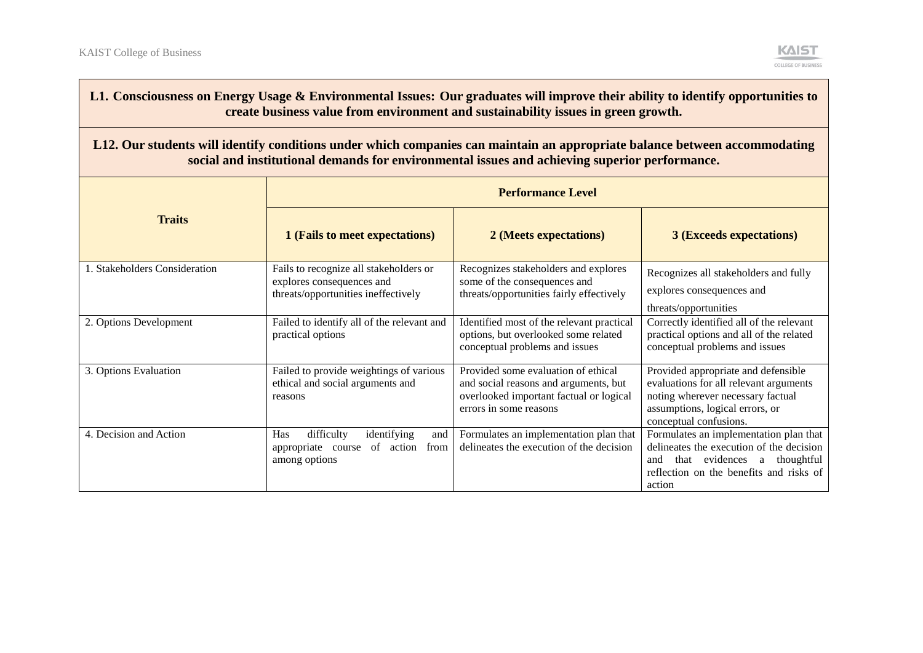

### L1. Consciousness on Energy Usage & Environmental Issues: Our graduates will improve their ability to identify opportunities to **create business value from environment and sustainability issues in green growth.**

#### **L12. Our students will identify conditions under which companies can maintain an appropriate balance between accommodating social and institutional demands for environmental issues and achieving superior performance.**

|                               | <b>Performance Level</b>                                                                                   |                                                                                                                                                   |                                                                                                                                                                                     |
|-------------------------------|------------------------------------------------------------------------------------------------------------|---------------------------------------------------------------------------------------------------------------------------------------------------|-------------------------------------------------------------------------------------------------------------------------------------------------------------------------------------|
| <b>Traits</b>                 | 1 (Fails to meet expectations)                                                                             | 2 (Meets expectations)                                                                                                                            | <b>3 (Exceeds expectations)</b>                                                                                                                                                     |
| 1. Stakeholders Consideration | Fails to recognize all stakeholders or<br>explores consequences and<br>threats/opportunities ineffectively | Recognizes stakeholders and explores<br>some of the consequences and<br>threats/opportunities fairly effectively                                  | Recognizes all stakeholders and fully<br>explores consequences and<br>threats/opportunities                                                                                         |
| 2. Options Development        | Failed to identify all of the relevant and<br>practical options                                            | Identified most of the relevant practical<br>options, but overlooked some related<br>conceptual problems and issues                               | Correctly identified all of the relevant<br>practical options and all of the related<br>conceptual problems and issues                                                              |
| 3. Options Evaluation         | Failed to provide weightings of various<br>ethical and social arguments and<br>reasons                     | Provided some evaluation of ethical<br>and social reasons and arguments, but<br>overlooked important factual or logical<br>errors in some reasons | Provided appropriate and defensible<br>evaluations for all relevant arguments<br>noting wherever necessary factual<br>assumptions, logical errors, or<br>conceptual confusions.     |
| 4. Decision and Action        | difficulty<br>identifying<br>Has<br>and<br>of<br>action<br>from<br>appropriate<br>course<br>among options  | Formulates an implementation plan that<br>delineates the execution of the decision                                                                | Formulates an implementation plan that<br>delineates the execution of the decision<br>that evidences<br>thoughtful<br>and<br>a<br>reflection on the benefits and risks of<br>action |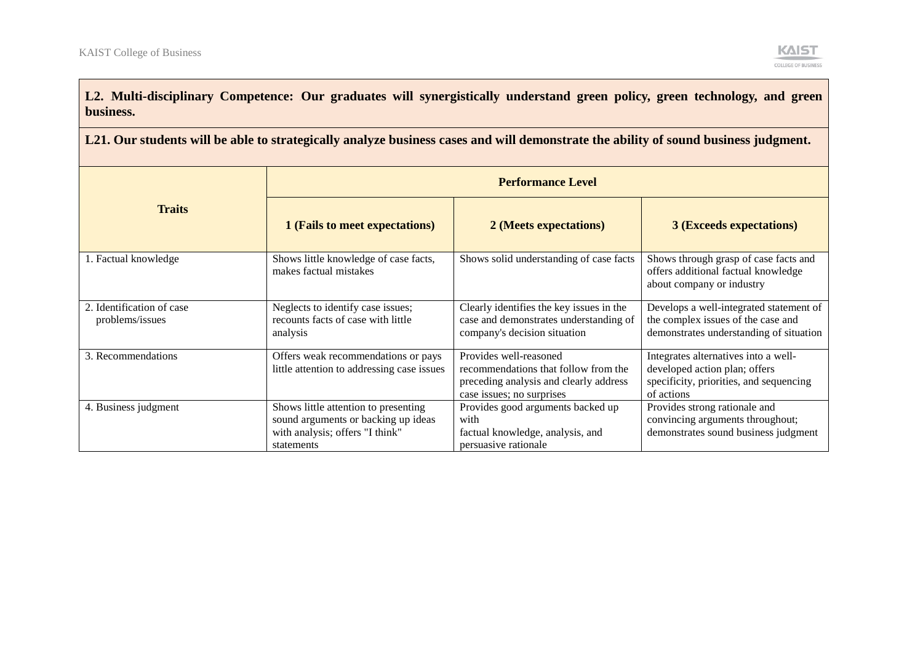

L2. Multi-disciplinary Competence: Our graduates will synergistically understand green policy, green technology, and green **business.** 

**L21. Our students will be able to strategically analyze business cases and will demonstrate the ability of sound business judgment.**

|                                              | <b>Performance Level</b>                                                                                                     |                                                                                                                                       |                                                                                                                                |
|----------------------------------------------|------------------------------------------------------------------------------------------------------------------------------|---------------------------------------------------------------------------------------------------------------------------------------|--------------------------------------------------------------------------------------------------------------------------------|
| <b>Traits</b>                                | 1 (Fails to meet expectations)                                                                                               | 2 (Meets expectations)                                                                                                                | <b>3 (Exceeds expectations)</b>                                                                                                |
| 1. Factual knowledge                         | Shows little knowledge of case facts,<br>makes factual mistakes                                                              | Shows solid understanding of case facts                                                                                               | Shows through grasp of case facts and<br>offers additional factual knowledge<br>about company or industry                      |
| 2. Identification of case<br>problems/issues | Neglects to identify case issues;<br>recounts facts of case with little<br>analysis                                          | Clearly identifies the key issues in the<br>case and demonstrates understanding of<br>company's decision situation                    | Develops a well-integrated statement of<br>the complex issues of the case and<br>demonstrates understanding of situation       |
| 3. Recommendations                           | Offers weak recommendations or pays<br>little attention to addressing case issues                                            | Provides well-reasoned<br>recommendations that follow from the<br>preceding analysis and clearly address<br>case issues; no surprises | Integrates alternatives into a well-<br>developed action plan; offers<br>specificity, priorities, and sequencing<br>of actions |
| 4. Business judgment                         | Shows little attention to presenting<br>sound arguments or backing up ideas<br>with analysis; offers "I think"<br>statements | Provides good arguments backed up<br>with<br>factual knowledge, analysis, and<br>persuasive rationale                                 | Provides strong rationale and<br>convincing arguments throughout;<br>demonstrates sound business judgment                      |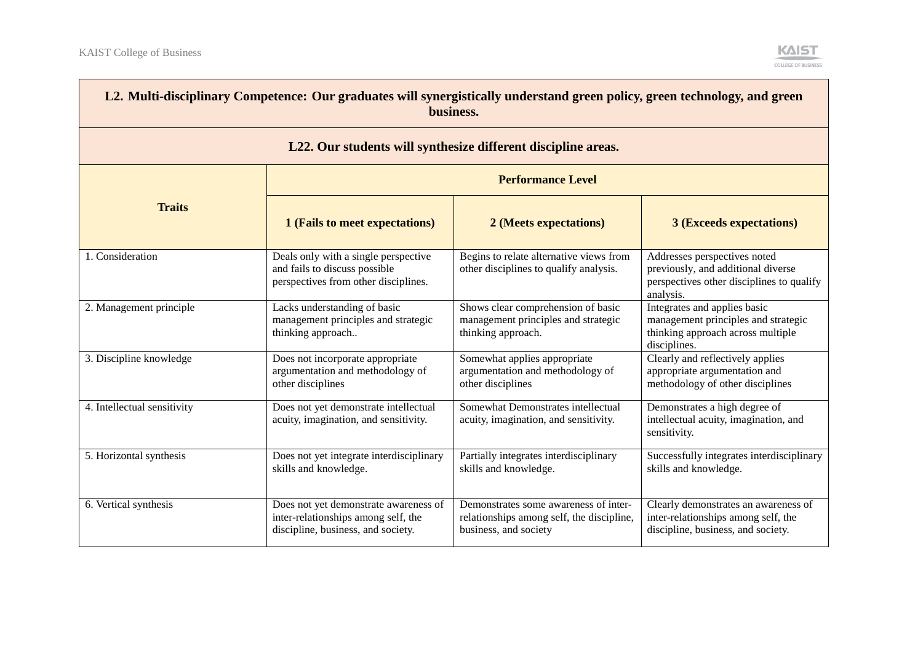and the control of the control of the control of



| L2. Multi-disciplinary Competence: Our graduates will synergistically understand green policy, green technology, and green<br>business. |                                                                                                                    |                                                                                                             |                                                                                                                              |
|-----------------------------------------------------------------------------------------------------------------------------------------|--------------------------------------------------------------------------------------------------------------------|-------------------------------------------------------------------------------------------------------------|------------------------------------------------------------------------------------------------------------------------------|
|                                                                                                                                         |                                                                                                                    | L22. Our students will synthesize different discipline areas.                                               |                                                                                                                              |
| <b>Performance Level</b>                                                                                                                |                                                                                                                    |                                                                                                             |                                                                                                                              |
| <b>Traits</b>                                                                                                                           | 1 (Fails to meet expectations)                                                                                     | 2 (Meets expectations)                                                                                      | <b>3 (Exceeds expectations)</b>                                                                                              |
| 1. Consideration                                                                                                                        | Deals only with a single perspective<br>and fails to discuss possible<br>perspectives from other disciplines.      | Begins to relate alternative views from<br>other disciplines to qualify analysis.                           | Addresses perspectives noted<br>previously, and additional diverse<br>perspectives other disciplines to qualify<br>analysis. |
| 2. Management principle                                                                                                                 | Lacks understanding of basic<br>management principles and strategic<br>thinking approach                           | Shows clear comprehension of basic<br>management principles and strategic<br>thinking approach.             | Integrates and applies basic<br>management principles and strategic<br>thinking approach across multiple<br>disciplines.     |
| 3. Discipline knowledge                                                                                                                 | Does not incorporate appropriate<br>argumentation and methodology of<br>other disciplines                          | Somewhat applies appropriate<br>argumentation and methodology of<br>other disciplines                       | Clearly and reflectively applies<br>appropriate argumentation and<br>methodology of other disciplines                        |
| 4. Intellectual sensitivity                                                                                                             | Does not yet demonstrate intellectual<br>acuity, imagination, and sensitivity.                                     | Somewhat Demonstrates intellectual<br>acuity, imagination, and sensitivity.                                 | Demonstrates a high degree of<br>intellectual acuity, imagination, and<br>sensitivity.                                       |
| 5. Horizontal synthesis                                                                                                                 | Does not yet integrate interdisciplinary<br>skills and knowledge.                                                  | Partially integrates interdisciplinary<br>skills and knowledge.                                             | Successfully integrates interdisciplinary<br>skills and knowledge.                                                           |
| 6. Vertical synthesis                                                                                                                   | Does not yet demonstrate awareness of<br>inter-relationships among self, the<br>discipline, business, and society. | Demonstrates some awareness of inter-<br>relationships among self, the discipline,<br>business, and society | Clearly demonstrates an awareness of<br>inter-relationships among self, the<br>discipline, business, and society.            |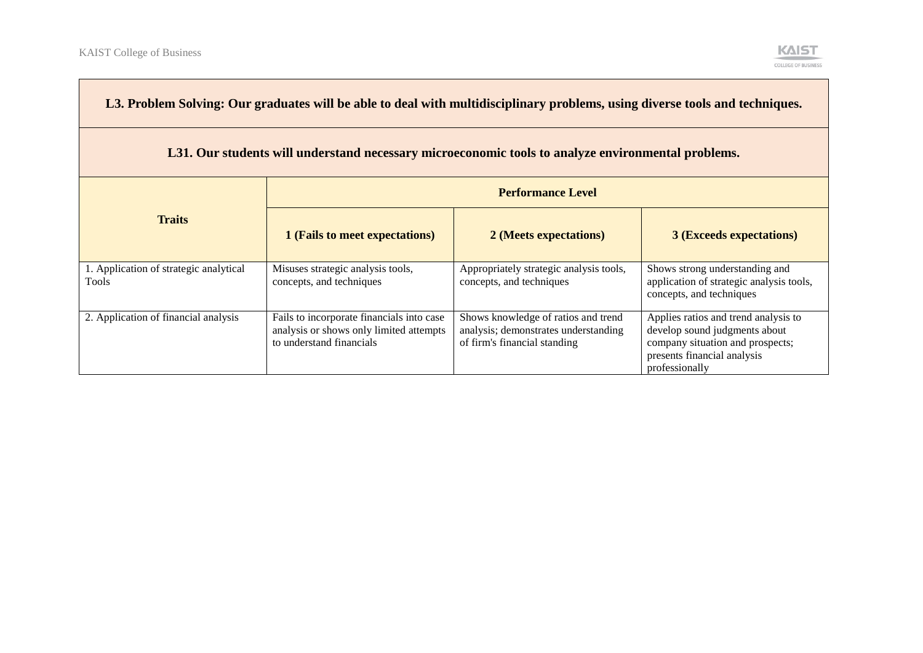| L3. Problem Solving: Our graduates will be able to deal with multidisciplinary problems, using diverse tools and techniques. |                                                                                                                  |                                                                                                             |                                                                                                                                                            |
|------------------------------------------------------------------------------------------------------------------------------|------------------------------------------------------------------------------------------------------------------|-------------------------------------------------------------------------------------------------------------|------------------------------------------------------------------------------------------------------------------------------------------------------------|
| L31. Our students will understand necessary microeconomic tools to analyze environmental problems.                           |                                                                                                                  |                                                                                                             |                                                                                                                                                            |
| <b>Performance Level</b>                                                                                                     |                                                                                                                  |                                                                                                             |                                                                                                                                                            |
| <b>Traits</b>                                                                                                                | 1 (Fails to meet expectations)                                                                                   | 2 (Meets expectations)                                                                                      | <b>3 (Exceeds expectations)</b>                                                                                                                            |
| 1. Application of strategic analytical<br>Tools                                                                              | Misuses strategic analysis tools,<br>concepts, and techniques                                                    | Appropriately strategic analysis tools,<br>concepts, and techniques                                         | Shows strong understanding and<br>application of strategic analysis tools,<br>concepts, and techniques                                                     |
| 2. Application of financial analysis                                                                                         | Fails to incorporate financials into case<br>analysis or shows only limited attempts<br>to understand financials | Shows knowledge of ratios and trend<br>analysis; demonstrates understanding<br>of firm's financial standing | Applies ratios and trend analysis to<br>develop sound judgments about<br>company situation and prospects;<br>presents financial analysis<br>professionally |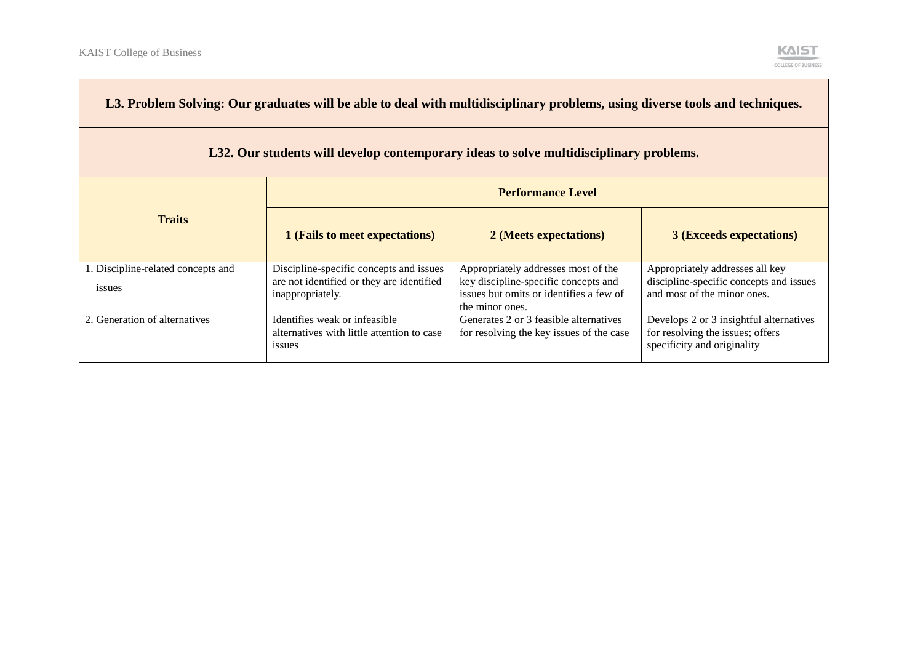| L3. Problem Solving: Our graduates will be able to deal with multidisciplinary problems, using diverse tools and techniques. |                                                                                                          |                                                                                                                                           |                                                                                                            |
|------------------------------------------------------------------------------------------------------------------------------|----------------------------------------------------------------------------------------------------------|-------------------------------------------------------------------------------------------------------------------------------------------|------------------------------------------------------------------------------------------------------------|
| L32. Our students will develop contemporary ideas to solve multidisciplinary problems.                                       |                                                                                                          |                                                                                                                                           |                                                                                                            |
| <b>Performance Level</b>                                                                                                     |                                                                                                          |                                                                                                                                           |                                                                                                            |
| <b>Traits</b>                                                                                                                | 1 (Fails to meet expectations)                                                                           | 2 (Meets expectations)                                                                                                                    | <b>3 (Exceeds expectations)</b>                                                                            |
| 1. Discipline-related concepts and<br>issues                                                                                 | Discipline-specific concepts and issues<br>are not identified or they are identified<br>inappropriately. | Appropriately addresses most of the<br>key discipline-specific concepts and<br>issues but omits or identifies a few of<br>the minor ones. | Appropriately addresses all key<br>discipline-specific concepts and issues<br>and most of the minor ones.  |
| 2. Generation of alternatives                                                                                                | Identifies weak or infeasible<br>alternatives with little attention to case<br>issues                    | Generates 2 or 3 feasible alternatives<br>for resolving the key issues of the case                                                        | Develops 2 or 3 insightful alternatives<br>for resolving the issues; offers<br>specificity and originality |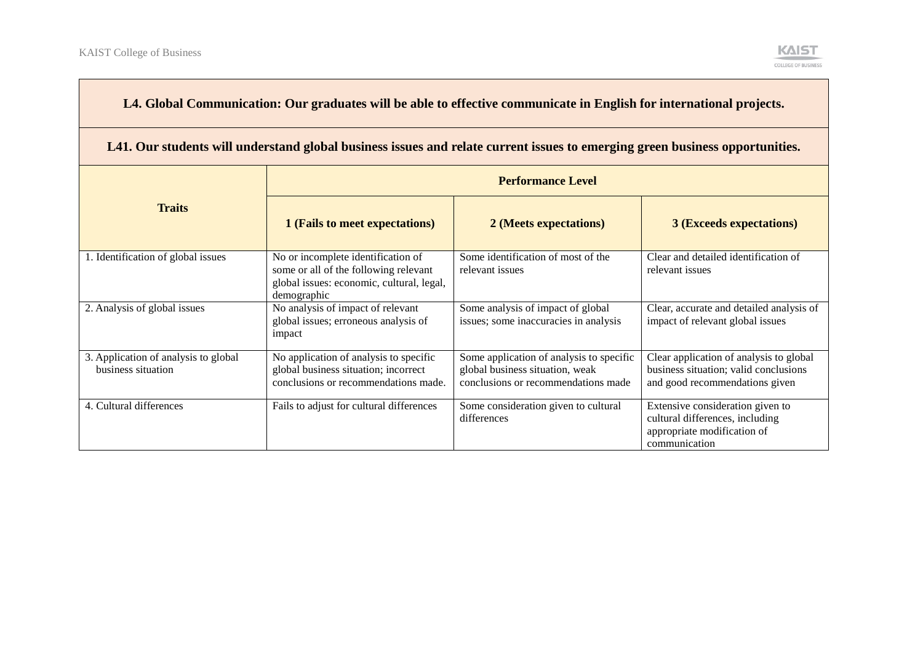

### **L4. Global Communication: Our graduates will be able to effective communicate in English for international projects.**

#### **L41. Our students will understand global business issues and relate current issues to emerging green business opportunities.**

|                                                            | <b>Performance Level</b>                                                                                                                |                                                                                                                    |                                                                                                                     |
|------------------------------------------------------------|-----------------------------------------------------------------------------------------------------------------------------------------|--------------------------------------------------------------------------------------------------------------------|---------------------------------------------------------------------------------------------------------------------|
| <b>Traits</b>                                              | 1 (Fails to meet expectations)                                                                                                          | 2 (Meets expectations)                                                                                             | <b>3 (Exceeds expectations)</b>                                                                                     |
| 1. Identification of global issues                         | No or incomplete identification of<br>some or all of the following relevant<br>global issues: economic, cultural, legal,<br>demographic | Some identification of most of the<br>relevant issues                                                              | Clear and detailed identification of<br>relevant issues                                                             |
| 2. Analysis of global issues                               | No analysis of impact of relevant<br>global issues; erroneous analysis of<br>impact                                                     | Some analysis of impact of global<br>issues; some inaccuracies in analysis                                         | Clear, accurate and detailed analysis of<br>impact of relevant global issues                                        |
| 3. Application of analysis to global<br>business situation | No application of analysis to specific<br>global business situation; incorrect<br>conclusions or recommendations made.                  | Some application of analysis to specific<br>global business situation, weak<br>conclusions or recommendations made | Clear application of analysis to global<br>business situation; valid conclusions<br>and good recommendations given  |
| 4. Cultural differences                                    | Fails to adjust for cultural differences                                                                                                | Some consideration given to cultural<br>differences                                                                | Extensive consideration given to<br>cultural differences, including<br>appropriate modification of<br>communication |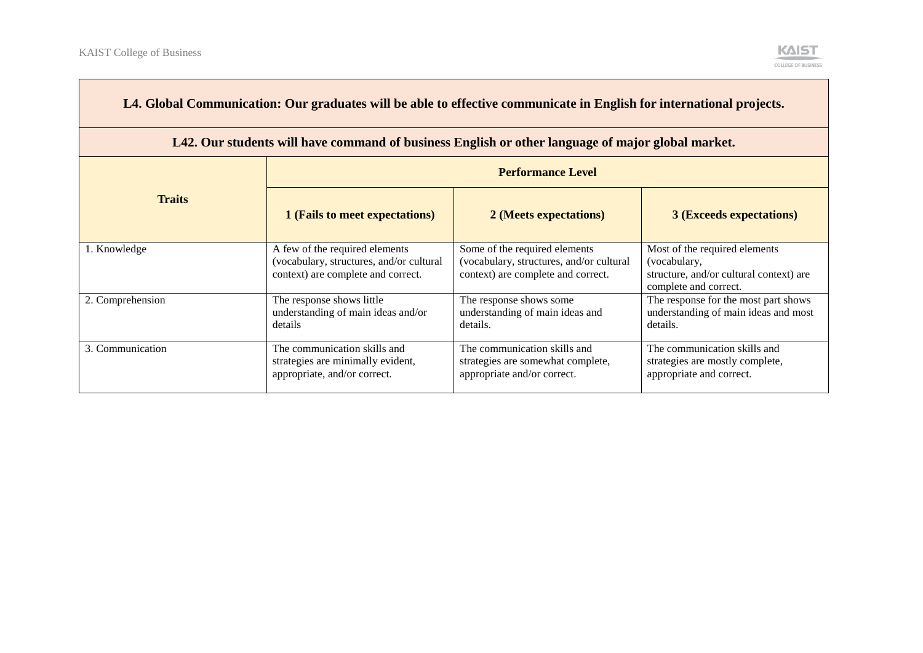

| L4. Global Communication: Our graduates will be able to effective communicate in English for international projects. |                                                                                                                  |                                                                                                                 |                                                                                                                   |  |
|----------------------------------------------------------------------------------------------------------------------|------------------------------------------------------------------------------------------------------------------|-----------------------------------------------------------------------------------------------------------------|-------------------------------------------------------------------------------------------------------------------|--|
| L42. Our students will have command of business English or other language of major global market.                    |                                                                                                                  |                                                                                                                 |                                                                                                                   |  |
|                                                                                                                      |                                                                                                                  | <b>Performance Level</b>                                                                                        |                                                                                                                   |  |
| <b>Traits</b>                                                                                                        | 1 (Fails to meet expectations)                                                                                   | 2 (Meets expectations)                                                                                          | <b>3 (Exceeds expectations)</b>                                                                                   |  |
| 1. Knowledge                                                                                                         | A few of the required elements<br>(vocabulary, structures, and/or cultural<br>context) are complete and correct. | Some of the required elements<br>(vocabulary, structures, and/or cultural<br>context) are complete and correct. | Most of the required elements<br>(vocabulary,<br>structure, and/or cultural context) are<br>complete and correct. |  |
| 2. Comprehension                                                                                                     | The response shows little<br>understanding of main ideas and/or<br>details                                       | The response shows some<br>understanding of main ideas and<br>details.                                          | The response for the most part shows<br>understanding of main ideas and most<br>details.                          |  |
| 3. Communication                                                                                                     | The communication skills and<br>strategies are minimally evident,<br>appropriate, and/or correct.                | The communication skills and<br>strategies are somewhat complete,<br>appropriate and/or correct.                | The communication skills and<br>strategies are mostly complete,<br>appropriate and correct.                       |  |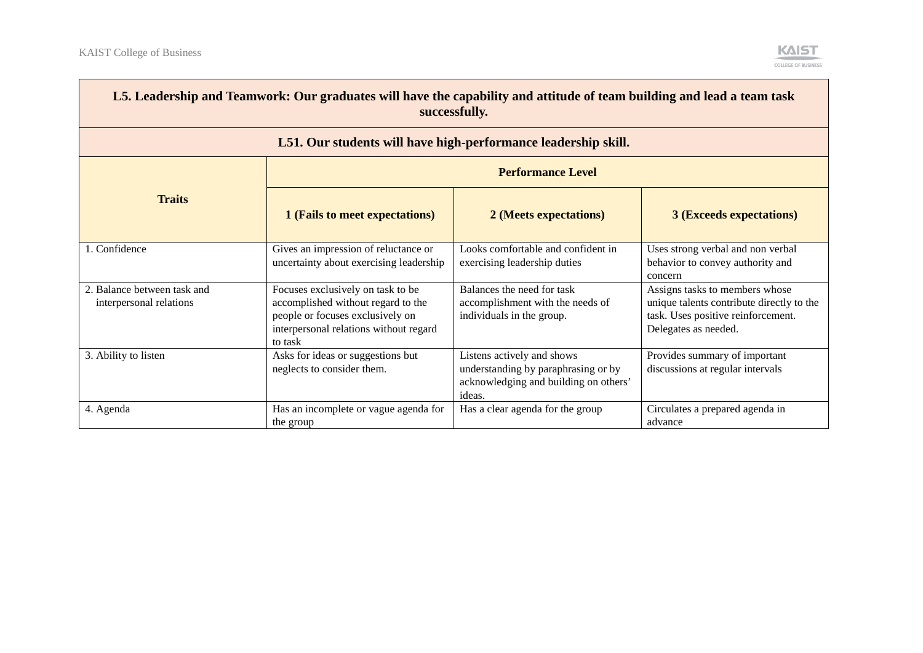$\overline{\phantom{a}}$ 



| L5. Leadership and Teamwork: Our graduates will have the capability and attitude of team building and lead a team task<br>successfully. |                                                                                                                                                                  |                                                                                                                      |                                                                                                                                           |
|-----------------------------------------------------------------------------------------------------------------------------------------|------------------------------------------------------------------------------------------------------------------------------------------------------------------|----------------------------------------------------------------------------------------------------------------------|-------------------------------------------------------------------------------------------------------------------------------------------|
|                                                                                                                                         |                                                                                                                                                                  | L51. Our students will have high-performance leadership skill.                                                       |                                                                                                                                           |
| <b>Performance Level</b>                                                                                                                |                                                                                                                                                                  |                                                                                                                      |                                                                                                                                           |
| <b>Traits</b>                                                                                                                           | 1 (Fails to meet expectations)                                                                                                                                   | 2 (Meets expectations)                                                                                               | <b>3 (Exceeds expectations)</b>                                                                                                           |
| 1. Confidence                                                                                                                           | Gives an impression of reluctance or<br>uncertainty about exercising leadership                                                                                  | Looks comfortable and confident in<br>exercising leadership duties                                                   | Uses strong verbal and non verbal<br>behavior to convey authority and<br>concern                                                          |
| 2. Balance between task and<br>interpersonal relations                                                                                  | Focuses exclusively on task to be<br>accomplished without regard to the<br>people or focuses exclusively on<br>interpersonal relations without regard<br>to task | Balances the need for task<br>accomplishment with the needs of<br>individuals in the group.                          | Assigns tasks to members whose<br>unique talents contribute directly to the<br>task. Uses positive reinforcement.<br>Delegates as needed. |
| 3. Ability to listen                                                                                                                    | Asks for ideas or suggestions but<br>neglects to consider them.                                                                                                  | Listens actively and shows<br>understanding by paraphrasing or by<br>acknowledging and building on others'<br>ideas. | Provides summary of important<br>discussions at regular intervals                                                                         |
| 4. Agenda                                                                                                                               | Has an incomplete or vague agenda for<br>the group                                                                                                               | Has a clear agenda for the group                                                                                     | Circulates a prepared agenda in<br>advance                                                                                                |